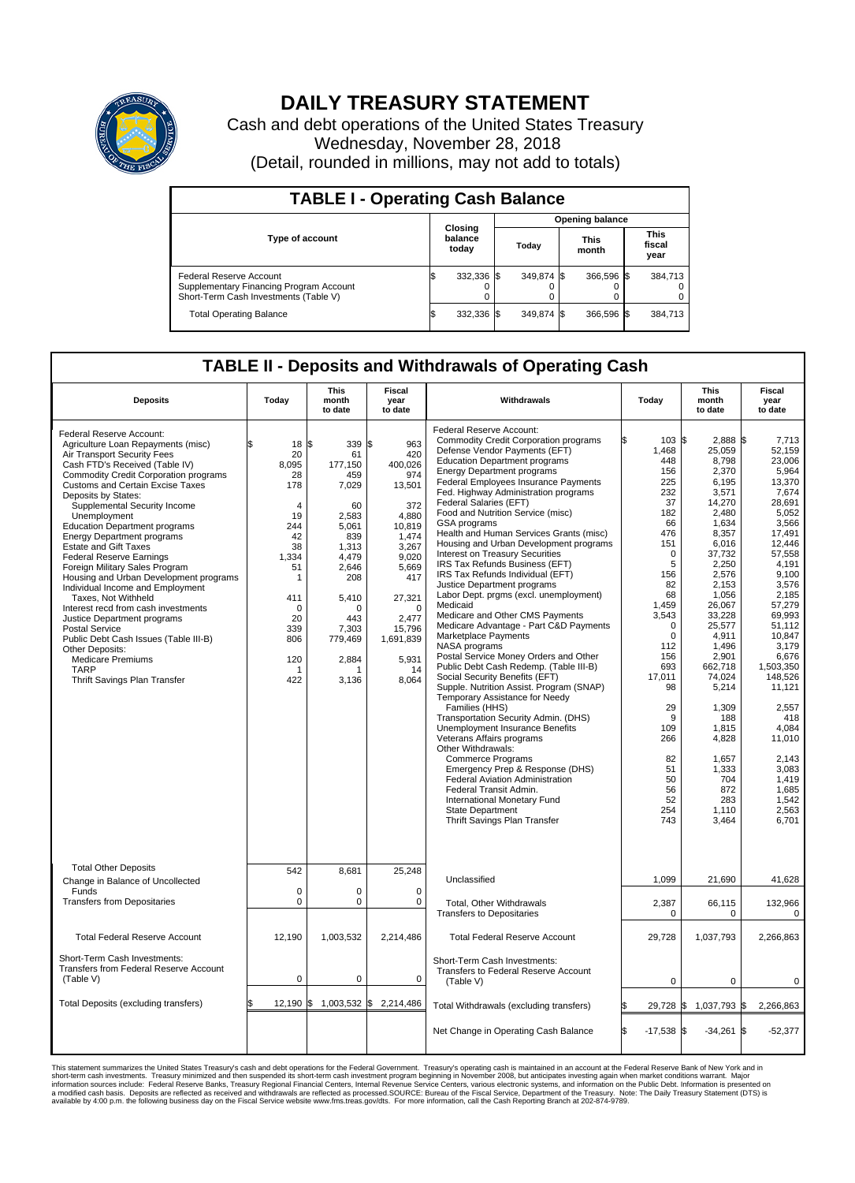

## **DAILY TREASURY STATEMENT**

Cash and debt operations of the United States Treasury Wednesday, November 28, 2018 (Detail, rounded in millions, may not add to totals)

| <b>TABLE I - Operating Cash Balance</b>                                                                     |    |                             |  |                        |  |                      |  |                               |  |  |
|-------------------------------------------------------------------------------------------------------------|----|-----------------------------|--|------------------------|--|----------------------|--|-------------------------------|--|--|
|                                                                                                             |    |                             |  | <b>Opening balance</b> |  |                      |  |                               |  |  |
| <b>Type of account</b>                                                                                      |    | Closing<br>balance<br>today |  | Today                  |  | <b>This</b><br>month |  | <b>This</b><br>fiscal<br>year |  |  |
| Federal Reserve Account<br>Supplementary Financing Program Account<br>Short-Term Cash Investments (Table V) |    | 332,336 \$                  |  | 349.874 \$             |  | 366,596 \$           |  | 384,713                       |  |  |
| <b>Total Operating Balance</b>                                                                              | ıъ | 332,336 \$                  |  | 349.874 \$             |  | 366,596 \$           |  | 384,713                       |  |  |

## **TABLE II - Deposits and Withdrawals of Operating Cash**

| <b>Deposits</b>                                                                                                                                                                                                                                                                                                                                                                                                                                                                                                                                                                                                                                                                                                                                                                                                         | Today                                                                                                                                                                    | <b>This</b><br>month<br>to date                                                                                                                                         | <b>Fiscal</b><br>year<br>to date                                                                                                                                                                 | Withdrawals                                                                                                                                                                                                                                                                                                                                                                                                                                                                                                                                                                                                                                                                                                                                                                                                                                                                                                                                                                                                                                                                                                                                                                                                                                                                                                                      | Today                                                                                                                                                                                                                                                                 | <b>This</b><br>month<br>to date                                                                                                                                                                                                                                                                                                      | <b>Fiscal</b><br>year<br>to date                                                                                                                                                                                                                                                                                                                  |
|-------------------------------------------------------------------------------------------------------------------------------------------------------------------------------------------------------------------------------------------------------------------------------------------------------------------------------------------------------------------------------------------------------------------------------------------------------------------------------------------------------------------------------------------------------------------------------------------------------------------------------------------------------------------------------------------------------------------------------------------------------------------------------------------------------------------------|--------------------------------------------------------------------------------------------------------------------------------------------------------------------------|-------------------------------------------------------------------------------------------------------------------------------------------------------------------------|--------------------------------------------------------------------------------------------------------------------------------------------------------------------------------------------------|----------------------------------------------------------------------------------------------------------------------------------------------------------------------------------------------------------------------------------------------------------------------------------------------------------------------------------------------------------------------------------------------------------------------------------------------------------------------------------------------------------------------------------------------------------------------------------------------------------------------------------------------------------------------------------------------------------------------------------------------------------------------------------------------------------------------------------------------------------------------------------------------------------------------------------------------------------------------------------------------------------------------------------------------------------------------------------------------------------------------------------------------------------------------------------------------------------------------------------------------------------------------------------------------------------------------------------|-----------------------------------------------------------------------------------------------------------------------------------------------------------------------------------------------------------------------------------------------------------------------|--------------------------------------------------------------------------------------------------------------------------------------------------------------------------------------------------------------------------------------------------------------------------------------------------------------------------------------|---------------------------------------------------------------------------------------------------------------------------------------------------------------------------------------------------------------------------------------------------------------------------------------------------------------------------------------------------|
| Federal Reserve Account:<br>Agriculture Loan Repayments (misc)<br>Air Transport Security Fees<br>Cash FTD's Received (Table IV)<br>Commodity Credit Corporation programs<br><b>Customs and Certain Excise Taxes</b><br>Deposits by States:<br>Supplemental Security Income<br>Unemployment<br><b>Education Department programs</b><br><b>Energy Department programs</b><br><b>Estate and Gift Taxes</b><br><b>Federal Reserve Earnings</b><br>Foreign Military Sales Program<br>Housing and Urban Development programs<br>Individual Income and Employment<br>Taxes, Not Withheld<br>Interest recd from cash investments<br>Justice Department programs<br><b>Postal Service</b><br>Public Debt Cash Issues (Table III-B)<br>Other Deposits:<br><b>Medicare Premiums</b><br><b>TARP</b><br>Thrift Savings Plan Transfer | 18 S<br>20<br>8.095<br>28<br>178<br>$\overline{4}$<br>19<br>244<br>42<br>38<br>1,334<br>51<br>$\mathbf{1}$<br>411<br>$\mathbf 0$<br>20<br>339<br>806<br>120<br>-1<br>422 | 339<br>61<br>177,150<br>459<br>7,029<br>60<br>2,583<br>5,061<br>839<br>1,313<br>4,479<br>2,646<br>208<br>5,410<br>$\Omega$<br>443<br>7,303<br>779,469<br>2,884<br>3,136 | l\$<br>963<br>420<br>400,026<br>974<br>13,501<br>372<br>4,880<br>10,819<br>1,474<br>3,267<br>9,020<br>5,669<br>417<br>27,321<br>$\Omega$<br>2.477<br>15,796<br>1,691,839<br>5,931<br>14<br>8,064 | Federal Reserve Account:<br>Commodity Credit Corporation programs<br>Defense Vendor Payments (EFT)<br><b>Education Department programs</b><br><b>Energy Department programs</b><br>Federal Employees Insurance Payments<br>Fed. Highway Administration programs<br>Federal Salaries (EFT)<br>Food and Nutrition Service (misc)<br>GSA programs<br>Health and Human Services Grants (misc)<br>Housing and Urban Development programs<br>Interest on Treasury Securities<br>IRS Tax Refunds Business (EFT)<br>IRS Tax Refunds Individual (EFT)<br>Justice Department programs<br>Labor Dept. prgms (excl. unemployment)<br>Medicaid<br>Medicare and Other CMS Payments<br>Medicare Advantage - Part C&D Payments<br>Marketplace Payments<br>NASA programs<br>Postal Service Money Orders and Other<br>Public Debt Cash Redemp. (Table III-B)<br>Social Security Benefits (EFT)<br>Supple. Nutrition Assist. Program (SNAP)<br>Temporary Assistance for Needy<br>Families (HHS)<br>Transportation Security Admin. (DHS)<br><b>Unemployment Insurance Benefits</b><br>Veterans Affairs programs<br>Other Withdrawals:<br><b>Commerce Programs</b><br>Emergency Prep & Response (DHS)<br>Federal Aviation Administration<br>Federal Transit Admin.<br>International Monetary Fund<br>State Department<br>Thrift Savings Plan Transfer | 103S<br>1,468<br>448<br>156<br>225<br>232<br>37<br>182<br>66<br>476<br>151<br>$\mathbf 0$<br>5<br>156<br>82<br>68<br>1,459<br>3,543<br>$\Omega$<br>$\Omega$<br>112<br>156<br>693<br>17.011<br>98<br>29<br>g<br>109<br>266<br>82<br>51<br>50<br>56<br>52<br>254<br>743 | 2,888 \$<br>25,059<br>8,798<br>2,370<br>6,195<br>3,571<br>14,270<br>2.480<br>1,634<br>8,357<br>6,016<br>37,732<br>2.250<br>2,576<br>2.153<br>1,056<br>26,067<br>33,228<br>25,577<br>4,911<br>1,496<br>2,901<br>662,718<br>74,024<br>5,214<br>1,309<br>188<br>1,815<br>4,828<br>1,657<br>1,333<br>704<br>872<br>283<br>1,110<br>3,464 | 7,713<br>52.159<br>23,006<br>5,964<br>13,370<br>7.674<br>28,691<br>5,052<br>3.566<br>17,491<br>12,446<br>57,558<br>4.191<br>9,100<br>3,576<br>2,185<br>57,279<br>69,993<br>51,112<br>10,847<br>3,179<br>6,676<br>1,503,350<br>148.526<br>11,121<br>2,557<br>418<br>4,084<br>11,010<br>2,143<br>3,083<br>1,419<br>1,685<br>1,542<br>2,563<br>6,701 |
| <b>Total Other Deposits</b><br>Change in Balance of Uncollected                                                                                                                                                                                                                                                                                                                                                                                                                                                                                                                                                                                                                                                                                                                                                         | 542                                                                                                                                                                      | 8,681                                                                                                                                                                   | 25,248                                                                                                                                                                                           | Unclassified                                                                                                                                                                                                                                                                                                                                                                                                                                                                                                                                                                                                                                                                                                                                                                                                                                                                                                                                                                                                                                                                                                                                                                                                                                                                                                                     | 1,099                                                                                                                                                                                                                                                                 | 21,690                                                                                                                                                                                                                                                                                                                               | 41,628                                                                                                                                                                                                                                                                                                                                            |
| Funds<br><b>Transfers from Depositaries</b>                                                                                                                                                                                                                                                                                                                                                                                                                                                                                                                                                                                                                                                                                                                                                                             | $\mathbf 0$<br>$\mathbf 0$                                                                                                                                               | $\Omega$<br>$\mathbf 0$                                                                                                                                                 | $\Omega$<br>$\mathbf 0$                                                                                                                                                                          | Total, Other Withdrawals<br><b>Transfers to Depositaries</b>                                                                                                                                                                                                                                                                                                                                                                                                                                                                                                                                                                                                                                                                                                                                                                                                                                                                                                                                                                                                                                                                                                                                                                                                                                                                     | 2,387<br>$\mathbf 0$                                                                                                                                                                                                                                                  | 66,115<br>0                                                                                                                                                                                                                                                                                                                          | 132,966<br>0                                                                                                                                                                                                                                                                                                                                      |
| <b>Total Federal Reserve Account</b>                                                                                                                                                                                                                                                                                                                                                                                                                                                                                                                                                                                                                                                                                                                                                                                    | 12,190                                                                                                                                                                   | 1,003,532                                                                                                                                                               | 2,214,486                                                                                                                                                                                        | <b>Total Federal Reserve Account</b>                                                                                                                                                                                                                                                                                                                                                                                                                                                                                                                                                                                                                                                                                                                                                                                                                                                                                                                                                                                                                                                                                                                                                                                                                                                                                             | 29,728                                                                                                                                                                                                                                                                | 1,037,793                                                                                                                                                                                                                                                                                                                            | 2,266,863                                                                                                                                                                                                                                                                                                                                         |
| Short-Term Cash Investments:<br>Transfers from Federal Reserve Account<br>(Table V)                                                                                                                                                                                                                                                                                                                                                                                                                                                                                                                                                                                                                                                                                                                                     | $\mathbf 0$                                                                                                                                                              | $\mathbf 0$                                                                                                                                                             | 0                                                                                                                                                                                                | Short-Term Cash Investments:<br>Transfers to Federal Reserve Account<br>(Table V)                                                                                                                                                                                                                                                                                                                                                                                                                                                                                                                                                                                                                                                                                                                                                                                                                                                                                                                                                                                                                                                                                                                                                                                                                                                | $\mathbf 0$                                                                                                                                                                                                                                                           | $\mathbf 0$                                                                                                                                                                                                                                                                                                                          | $\mathbf 0$                                                                                                                                                                                                                                                                                                                                       |
| Total Deposits (excluding transfers)                                                                                                                                                                                                                                                                                                                                                                                                                                                                                                                                                                                                                                                                                                                                                                                    |                                                                                                                                                                          | 12,190 \$ 1,003,532 \$                                                                                                                                                  | 2,214,486                                                                                                                                                                                        | Total Withdrawals (excluding transfers)                                                                                                                                                                                                                                                                                                                                                                                                                                                                                                                                                                                                                                                                                                                                                                                                                                                                                                                                                                                                                                                                                                                                                                                                                                                                                          | 29,728 \$                                                                                                                                                                                                                                                             | 1,037,793 \$                                                                                                                                                                                                                                                                                                                         | 2,266,863                                                                                                                                                                                                                                                                                                                                         |
|                                                                                                                                                                                                                                                                                                                                                                                                                                                                                                                                                                                                                                                                                                                                                                                                                         |                                                                                                                                                                          |                                                                                                                                                                         |                                                                                                                                                                                                  | Net Change in Operating Cash Balance                                                                                                                                                                                                                                                                                                                                                                                                                                                                                                                                                                                                                                                                                                                                                                                                                                                                                                                                                                                                                                                                                                                                                                                                                                                                                             | l\$<br>$-17,538$ \$                                                                                                                                                                                                                                                   | $-34,261$ \$                                                                                                                                                                                                                                                                                                                         | $-52,377$                                                                                                                                                                                                                                                                                                                                         |

This statement summarizes the United States Treasury's cash and debt operations for the Federal Government. Treasury soperating in November 2008, but anticiarded in a cocount at the Federal Reserve Bank of New York and in<br>